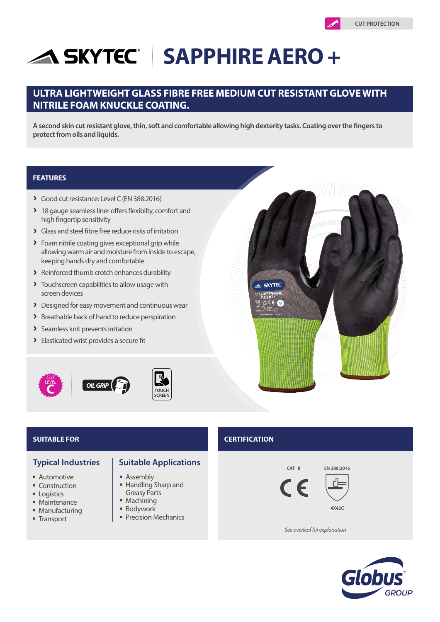# **SKYTEC SAPPHIRE AERO +**

# **ULTRA LIGHTWEIGHT GLASS FIBRE FREE MEDIUM CUT RESISTANT GLOVE WITH NITRILE FOAM KNUCKLE COATING.**

**A second skin cut resistant glove, thin, soft and comfortable allowing high dexterity tasks. Coating over the fingers to protect from oils and liquids.**

# **FEATURES**

- A Good cut resistance: Level C (EN 388:2016)
- > 18 gauge seamless liner offers flexibilty, comfort and high fingertip sensitivity
- A Glass and steel fibre free reduce risks of irritation
- > Foam nitrile coating gives exceptional grip while allowing warm air and moisture from inside to escape, keeping hands dry and comfortable
- > Reinforced thumb crotch enhances durability
- > Touchscreen capabilities to allow usage with screen devices
- > Designed for easy movement and continuous wear
- > Breathable back of hand to reduce perspiration
- > Seamless knit prevents irritation
- > Elasticated wrist provides a secure fit





- **Automotive**
- Construction
- **Logistics**
- Maintenance
- **Manufacturing**
- Transport
- **Typical Industries | Suitable Applications** 
	- Assembly
	- Handling Sharp and Greasy Parts
	- **Machining**
	- **Bodywork**
	- **Precision Mechanics**

# **SUITABLE FOR CERTIFICATION**







*See overleaf for explanation*